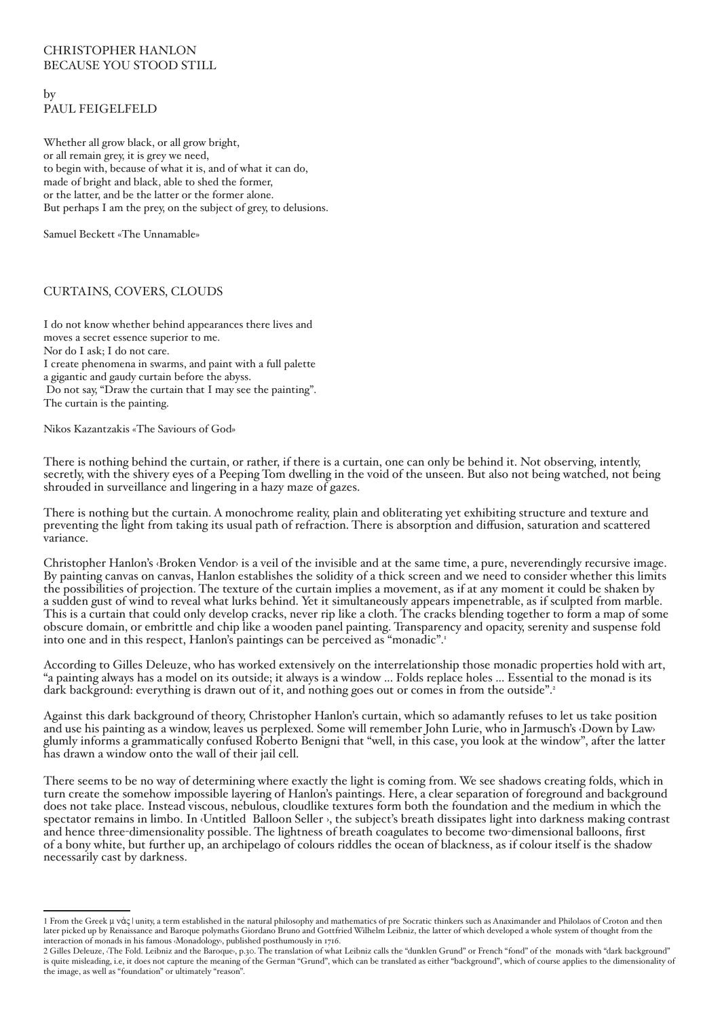## christopher hanlon BECAUSE YOU STOOD STILL

by Paul feigelfeld

Whether all grow black, or all grow bright, or all remain grey, it is grey we need, to begin with, because of what it is, and of what it can do, made of bright and black, able to shed the former, or the latter, and be the latter or the former alone. But perhaps I am the prey, on the subject of grey, to delusions.

Samuel Beckett «The Unnamable»

# Curtains, covers, clouds

I do not know whether behind appearances there lives and moves a secret essence superior to me. Nor do I ask; I do not care. I create phenomena in swarms, and paint with a full palette a gigantic and gaudy curtain before the abyss. Do not say, "Draw the curtain that I may see the painting". The curtain is the painting.

Nikos Kazantzakis «The Saviours of God»

There is nothing behind the curtain, or rather, if there is a curtain, one can only be behind it. Not observing, intently, secretly, with the shivery eyes of a Peeping Tom dwelling in the void of the unseen. But also not being watched, not being shrouded in surveillance and lingering in a hazy maze of gazes.

There is nothing but the curtain. A monochrome reality, plain and obliterating yet exhibiting structure and texture and preventing the light from taking its usual path of refraction. There is absorption and diffusion, saturation and scattered variance.

Christopher Hanlon's *Broken Vendor* is a veil of the invisible and at the same time, a pure, neverendingly recursive image. By painting canvas on canvas, Hanlon establishes the solidity of a thick screen and we need to consider whether this limits the possibilities of projection. The texture of the curtain implies a movement, as if at any moment it could be shaken by a sudden gust of wind to reveal what lurks behind. Yet it simultaneously appears impenetrable, as if sculpted from marble. This is a curtain that could only develop cracks, never rip like a cloth. The cracks blending together to form a map of some obscure domain, or embrittle and chip like a wooden panel painting. Transparency and opacity, serenity and suspense fold into one and in this respect, Hanlon's paintings can be perceived as "monadic".

According to Gilles Deleuze, who has worked extensively on the interrelationship those monadic properties hold with art, "a painting always has a model on its outside; it always is a window ... Folds replace holes ... Essential to the monad is its dark background: everything is drawn out of it, and nothing goes out or comes in from the outside".<sup>2</sup>

Against this dark background of theory, Christopher Hanlon's curtain, which so adamantly refuses to let us take position and use his painting as a window, leaves us perplexed. Some will remember John Lurie, who in Jarmusch's ‹Down by Law› glumly informs a grammatically confused Roberto Benigni that "well, in this case, you look at the window", after the latter has drawn a window onto the wall of their jail cell.

There seems to be no way of determining where exactly the light is coming from. We see shadows creating folds, which in turn create the somehow impossible layering of Hanlon's paintings. Here, a clear separation of foreground and background does not take place. Instead viscous, nebulous, cloudlike textures form both the foundation and the medium in which the spectator remains in limbo. In ‹Untitled (Balloon Seller)›, the subject's breath dissipates light into darkness making contrast and hence three-dimensionality possible. The lightness of breath coagulates to become two-dimensional balloons, first of a bony white, but further up, an archipelago of colours riddles the ocean of blackness, as if colour itself is the shadow necessarily cast by darkness.

<sup>1</sup> From the Greek μ νάς | unity, a term established in the natural philosophy and mathematics of pre-Socratic thinkers such as Anaximander and Philolaos of Croton and then later picked up by Renaissance and Baroque polymaths Giordano Bruno and Gottfried Wilhelm Leibniz, the latter of which developed a whole system of thought from the interaction of monads in his famous Monadology, published posthumously in 1716.

<sup>2</sup> Gilles Deleuze, The Fold. Leibniz and the Baroque, p.30. The translation of what Leibniz calls the "dunklen Grund" or French "fond" of the monads with "dark background" is quite misleading, i.e, it does not capture the meaning of the German "Grund", which can be translated as either "background", which of course applies to the dimensionality of the image, as well as "foundation" or ultimately "reason".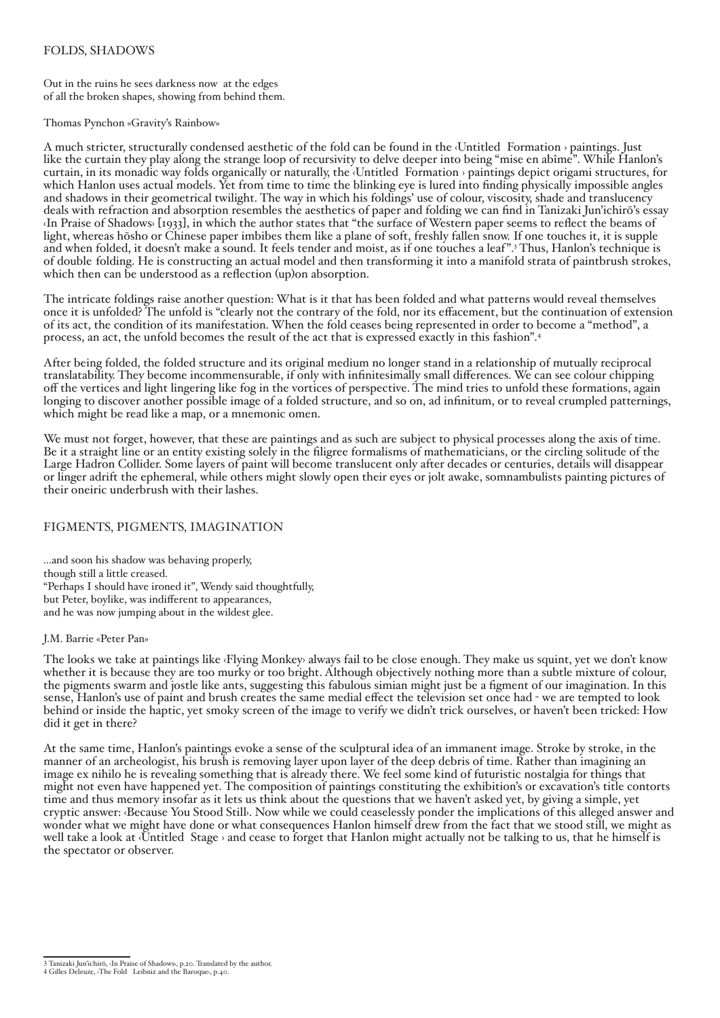### Folds, shadows

Out in the ruins he sees darkness now at the edges of all the broken shapes, showing from behind them.

#### Thomas Pynchon «Gravity's Rainbow»

A much stricter, structurally condensed aesthetic of the fold can be found in the ‹Untitled (Formation)› paintings. Just like the curtain they play along the strange loop of recursivity to delve deeper into being "mise en abîme". While Hanlon's curtain, in its monadic way folds organically or naturally, the ‹Untitled (Formation)› paintings depict origami structures, for which Hanlon uses actual models. Yet from time to time the blinking eye is lured into finding physically impossible angles and shadows in their geometrical twilight. The way in which his foldings' use of colour, viscosity, shade and translucency deals with refraction and absorption resembles the aesthetics of paper and folding we can find in Tanizaki Jun'ichirō's essay ‹In Praise of Shadows› [1933], in which the author states that "the surface of Western paper seems to reflect the beams of light, whereas hōsho or Chinese paper imbibes them like a plane of soft, freshly fallen snow. If one touches it, it is supple and when folded, it doesn't make a sound. It feels tender and moist, as if one touches a leaf".<sup>3</sup> Thus, Hanlon's technique is of double-folding. He is constructing an actual model and then transforming it into a manifold strata of paintbrush strokes, which then can be understood as a reflection (up) on absorption.

The intricate foldings raise another question: What is it that has been folded and what patterns would reveal themselves once it is unfolded? The unfold is "clearly not the contrary of the fold, nor its effacement, but the continuation of extension of its act, the condition of its manifestation. When the fold ceases being represented in order to become a "method", a process, an act, the unfold becomes the result of the act that is expressed exactly in this fashion".

After being folded, the folded structure and its original medium no longer stand in a relationship of mutually reciprocal translatability. They become incommensurable, if only with infinitesimally small differences. We can see colour chipping off the vertices and light lingering like fog in the vortices of perspective. The mind tries to unfold these formations, again longing to discover another possible image of a folded structure, and so on, ad infinitum, or to reveal crumpled patternings, which might be read like a map, or a mnemonic omen.

We must not forget, however, that these are paintings and as such are subject to physical processes along the axis of time. Be it a straight line or an entity existing solely in the filigree formalisms of mathematicians, or the circling solitude of the Large Hadron Collider. Some layers of paint will become translucent only after decades or centuries, details will disappear or linger adrift the ephemeral, while others might slowly open their eyes or jolt awake, somnambulists painting pictures of their oneiric underbrush with their lashes.

### Figments, pigments, imagination

...and soon his shadow was behaving properly, though still a little creased. "Perhaps I should have ironed it", Wendy said thoughtfully, but Peter, boylike, was indifferent to appearances, and he was now jumping about in the wildest glee.

#### J.M. Barrie «Peter Pan»

The looks we take at paintings like *Flying Monkey* always fail to be close enough. They make us squint, yet we don't know whether it is because they are too murky or too bright. Although objectively nothing more than a subtle mixture of colour, the pigments swarm and jostle like ants, suggesting this fabulous simian might just be a figment of our imagination. In this sense, Hanlon's use of paint and brush creates the same medial effect the television set once had - we are tempted to look behind or inside the haptic, yet smoky screen of the image to verify we didn't trick ourselves, or haven't been tricked: How did it get in there?

At the same time, Hanlon's paintings evoke a sense of the sculptural idea of an immanent image. Stroke by stroke, in the manner of an archeologist, his brush is removing layer upon layer of the deep debris of time. Rather than imagining an image ex nihilo he is revealing something that is already there. We feel some kind of futuristic nostalgia for things that might not even have happened yet. The composition of paintings constituting the exhibition's or excavation's title contorts time and thus memory insofar as it lets us think about the questions that we haven't asked yet, by giving a simple, yet cryptic answer: ‹Because You Stood Still›. Now while we could ceaselessly ponder the implications of this alleged answer and wonder what we might have done or what consequences Hanlon himself drew from the fact that we stood still, we might as well take a look at *Untitled* (Stage) and cease to forget that Hanlon might actually not be talking to us, that he himself is the spectator or observer.

Tanizaki Jun'ichirō, ‹In Praise of Shadows›, p.20. Translated by the author.

Gilles Deleuze, ‹The Fold - Leibniz and the Baroque›, p.40.